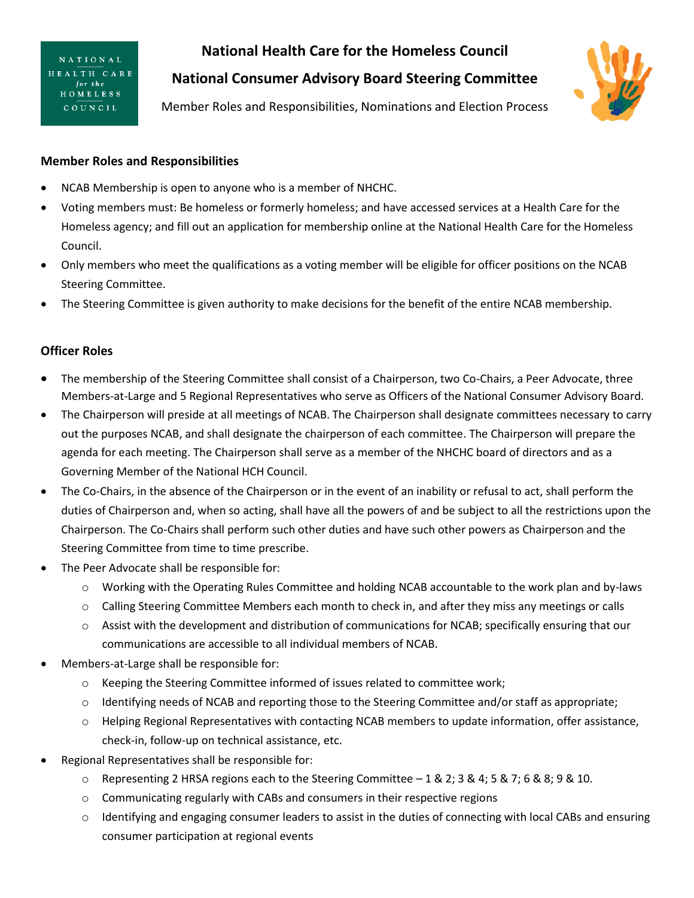**NATIONAL** HEALTH CARE for the HOMELESS COUNCIL

**National Health Care for the Homeless Council**

**National Consumer Advisory Board Steering Committee**



Member Roles and Responsibilities, Nominations and Election Process

## **Member Roles and Responsibilities**

- NCAB Membership is open to anyone who is a member of NHCHC.
- Voting members must: Be homeless or formerly homeless; and have accessed services at a Health Care for the Homeless agency; and fill out an application for membership online at the National Health Care for the Homeless Council.
- Only members who meet the qualifications as a voting member will be eligible for officer positions on the NCAB Steering Committee.
- The Steering Committee is given authority to make decisions for the benefit of the entire NCAB membership.

## **Officer Roles**

- The membership of the Steering Committee shall consist of a Chairperson, two Co-Chairs, a Peer Advocate, three Members-at-Large and 5 Regional Representatives who serve as Officers of the National Consumer Advisory Board.
- The Chairperson will preside at all meetings of NCAB. The Chairperson shall designate committees necessary to carry out the purposes NCAB, and shall designate the chairperson of each committee. The Chairperson will prepare the agenda for each meeting. The Chairperson shall serve as a member of the NHCHC board of directors and as a Governing Member of the National HCH Council.
- The Co-Chairs, in the absence of the Chairperson or in the event of an inability or refusal to act, shall perform the duties of Chairperson and, when so acting, shall have all the powers of and be subject to all the restrictions upon the Chairperson. The Co-Chairs shall perform such other duties and have such other powers as Chairperson and the Steering Committee from time to time prescribe.
- The Peer Advocate shall be responsible for:
	- o Working with the Operating Rules Committee and holding NCAB accountable to the work plan and by-laws
	- o Calling Steering Committee Members each month to check in, and after they miss any meetings or calls
	- $\circ$  Assist with the development and distribution of communications for NCAB; specifically ensuring that our communications are accessible to all individual members of NCAB.
- Members-at-Large shall be responsible for:
	- o Keeping the Steering Committee informed of issues related to committee work;
	- o Identifying needs of NCAB and reporting those to the Steering Committee and/or staff as appropriate;
	- o Helping Regional Representatives with contacting NCAB members to update information, offer assistance, check-in, follow-up on technical assistance, etc.
- Regional Representatives shall be responsible for:
	- o Representing 2 HRSA regions each to the Steering Committee 1 & 2; 3 & 4; 5 & 7; 6 & 8; 9 & 10.
	- o Communicating regularly with CABs and consumers in their respective regions
	- $\circ$  Identifying and engaging consumer leaders to assist in the duties of connecting with local CABs and ensuring consumer participation at regional events